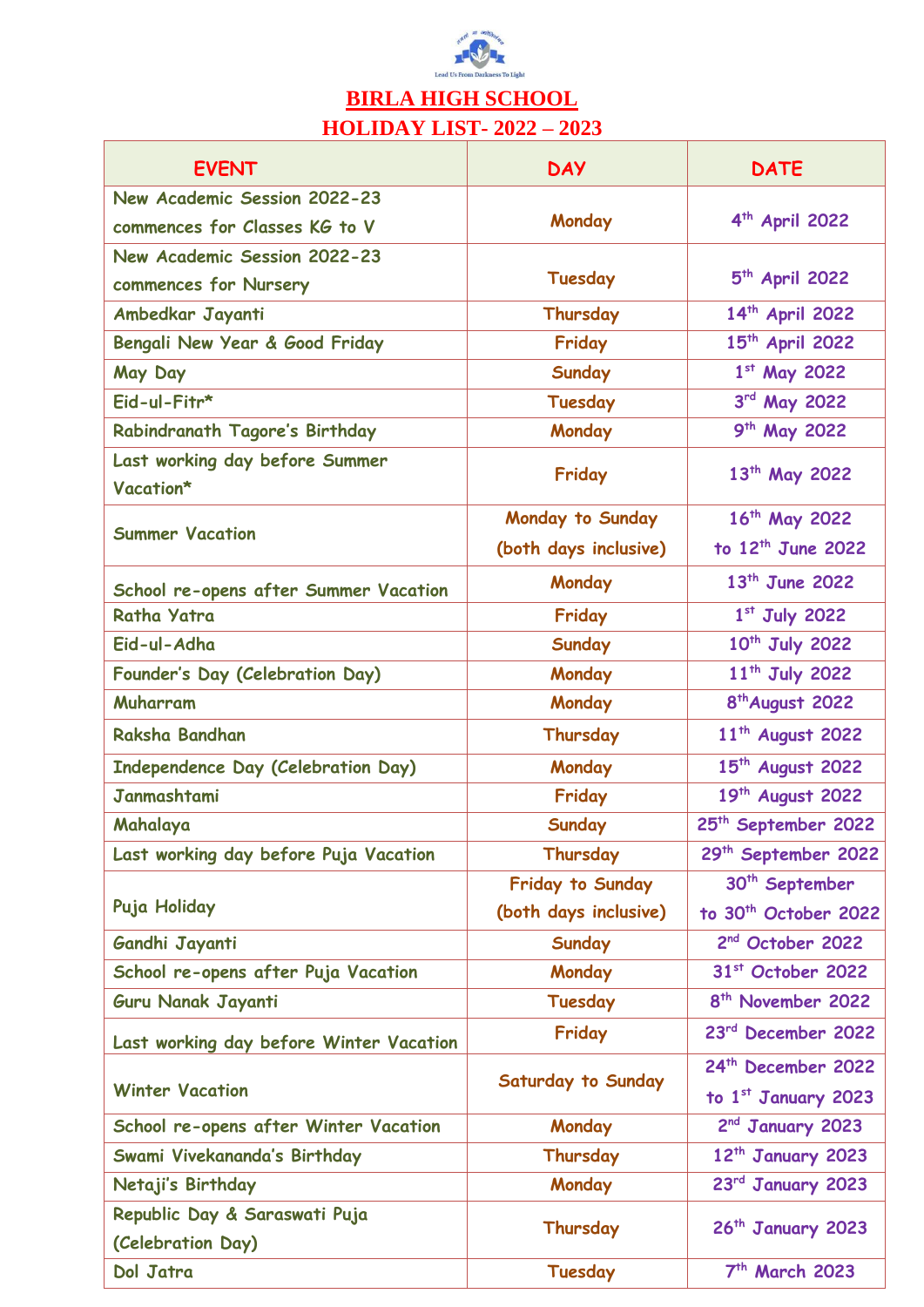

## **BIRLA HIGH SCHOOL HOLIDAY LIST- 2022 – 2023**

| <b>EVENT</b>                                | <b>DAY</b>              | <b>DATE</b>                               |
|---------------------------------------------|-------------------------|-------------------------------------------|
| New Academic Session 2022-23                |                         |                                           |
| commences for Classes KG to V               | Monday                  | $4th$ April 2022                          |
| New Academic Session 2022-23                |                         |                                           |
| commences for Nursery                       | Tuesday                 | $5th$ April 2022                          |
| Ambedkar Jayanti                            | Thursday                | 14th April 2022                           |
| Bengali New Year & Good Friday              | Friday                  | 15 <sup>th</sup> April 2022               |
| May Day                                     | <b>Sunday</b>           | 1st May 2022                              |
| Eid-ul-Fitr*                                | Tuesday                 | 3rd May 2022                              |
| Rabindranath Tagore's Birthday              | Monday                  | 9 <sup>th</sup> May 2022                  |
| Last working day before Summer<br>Vacation* | Friday                  | 13 <sup>th</sup> May 2022                 |
|                                             | <b>Monday to Sunday</b> | 16 <sup>th</sup> May 2022                 |
| <b>Summer Vacation</b>                      | (both days inclusive)   | to $12th$ June 2022                       |
|                                             |                         |                                           |
| School re-opens after Summer Vacation       | Monday                  | $13^{th}$ June 2022                       |
| <b>Ratha Yatra</b>                          | Friday                  | $1st$ July 2022                           |
| Eid-ul-Adha                                 | <b>Sunday</b>           | 10th July 2022                            |
| Founder's Day (Celebration Day)             | Monday                  | 11 <sup>th</sup> July 2022                |
| Muharram                                    | Monday                  | 8 <sup>th</sup> August 2022               |
| Raksha Bandhan                              | Thursday                | 11 <sup>th</sup> August 2022              |
| Independence Day (Celebration Day)          | Monday                  | 15 <sup>th</sup> August 2022              |
| <b>Janmashtami</b>                          | Friday                  | 19th August 2022                          |
| Mahalaya                                    | <b>Sunday</b>           | 25 <sup>th</sup> September 2022           |
| Last working day before Puja Vacation       | Thursday                | 29th September 2022                       |
|                                             | <b>Friday to Sunday</b> | 30 <sup>th</sup> September                |
| Puja Holiday                                | (both days inclusive)   | to 30 <sup>th</sup> October 2022          |
| Gandhi Jayanti                              | <b>Sunday</b>           | 2 <sup>nd</sup> October 2022              |
| School re-opens after Puja Vacation         | Monday                  | 31st October 2022                         |
| Guru Nanak Jayanti                          | Tuesday                 | 8 <sup>th</sup> November 2022             |
| Last working day before Winter Vacation     | Friday                  | 23rd December 2022                        |
| <b>Winter Vacation</b>                      | Saturday to Sunday      | 24th December 2022<br>to 1st January 2023 |
| School re-opens after Winter Vacation       | Monday                  | 2nd January 2023                          |
| Swami Vivekananda's Birthday                | Thursday                | 12 <sup>th</sup> January 2023             |
| Netaji's Birthday                           | Monday                  | 23rd January 2023                         |
| Republic Day & Saraswati Puja               |                         |                                           |
| (Celebration Day)                           | Thursday                | 26 <sup>th</sup> January 2023             |
| Dol Jatra                                   | Tuesday                 | 7 <sup>th</sup> March 2023                |